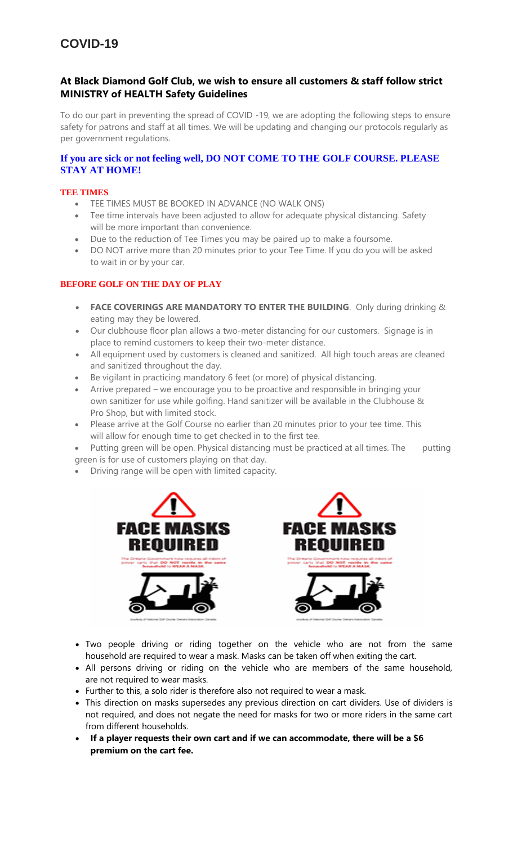# **At Black Diamond Golf Club, we wish to ensure all customers & staff follow strict MINISTRY of HEALTH Safety Guidelines**

To do our part in preventing the spread of COVID -19, we are adopting the following steps to ensure safety for patrons and staff at all times. We will be updating and changing our protocols regularly as per government regulations.

## **If you are sick or not feeling well, DO NOT COME TO THE GOLF COURSE. PLEASE STAY AT HOME!**

#### **TEE TIMES**

- TEE TIMES MUST BE BOOKED IN ADVANCE (NO WALK ONS)
- Tee time intervals have been adjusted to allow for adequate physical distancing. Safety will be more important than convenience.
- Due to the reduction of Tee Times you may be paired up to make a foursome.
- DO NOT arrive more than 20 minutes prior to your Tee Time. If you do you will be asked to wait in or by your car.

## **BEFORE GOLF ON THE DAY OF PLAY**

- **FACE COVERINGS ARE MANDATORY TO ENTER THE BUILDING**. Only during drinking & eating may they be lowered.
- Our clubhouse floor plan allows a two-meter distancing for our customers. Signage is in place to remind customers to keep their two-meter distance.
- All equipment used by customers is cleaned and sanitized. All high touch areas are cleaned and sanitized throughout the day.
- Be vigilant in practicing mandatory 6 feet (or more) of physical distancing.
- Arrive prepared we encourage you to be proactive and responsible in bringing your own sanitizer for use while golfing. Hand sanitizer will be available in the Clubhouse & Pro Shop, but with limited stock.
- Please arrive at the Golf Course no earlier than 20 minutes prior to your tee time. This will allow for enough time to get checked in to the first tee.
- Putting green will be open. Physical distancing must be practiced at all times. The putting green is for use of customers playing on that day.
- Driving range will be open with limited capacity.



- Two people driving or riding together on the vehicle who are not from the same household are required to wear a mask. Masks can be taken off when exiting the cart.
- All persons driving or riding on the vehicle who are members of the same household, are not required to wear masks.
- Further to this, a solo rider is therefore also not required to wear a mask.
- This direction on masks supersedes any previous direction on cart dividers. Use of dividers is not required, and does not negate the need for masks for two or more riders in the same cart from different households.
- **If a player requests their own cart and if we can accommodate, there will be a \$6 premium on the cart fee.**